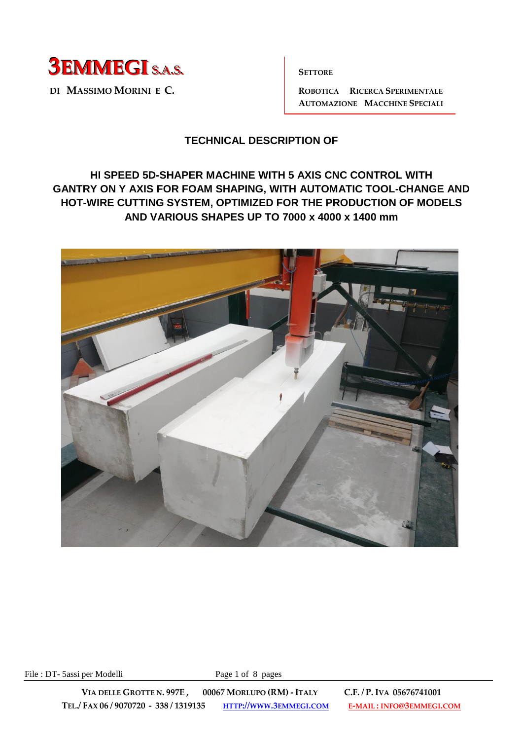

### **TECHNICAL DESCRIPTION OF**

# **HI SPEED 5D-SHAPER MACHINE WITH 5 AXIS CNC CONTROL WITH GANTRY ON Y AXIS FOR FOAM SHAPING, WITH AUTOMATIC TOOL-CHANGE AND HOT-WIRE CUTTING SYSTEM, OPTIMIZED FOR THE PRODUCTION OF MODELS AND VARIOUS SHAPES UP TO 7000 x 4000 x 1400 mm**



File : DT- 5assi per Modelli Page 1 of 8 pages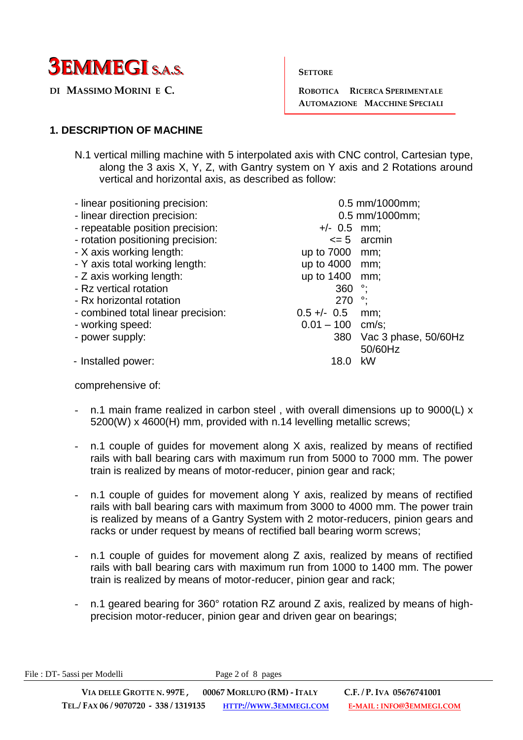

### **1. DESCRIPTION OF MACHINE**

N.1 vertical milling machine with 5 interpolated axis with CNC control, Cartesian type, along the 3 axis X, Y, Z, with Gantry system on Y axis and 2 Rotations around vertical and horizontal axis, as described as follow:

| - linear direction precision:<br>$0.5$ mm/1000mm;<br>- repeatable position precision:<br>$+/-$ 0.5 mm;<br>- rotation positioning precision:<br>$\leq$ 5 arcmin |  |
|----------------------------------------------------------------------------------------------------------------------------------------------------------------|--|
| - X axis working length:<br>up to 7000<br>mm;                                                                                                                  |  |
| - Y axis total working length:<br>up to 4000 mm;                                                                                                               |  |
| - Z axis working length:<br>up to 1400<br>mm;                                                                                                                  |  |
| - Rz vertical rotation<br>$^{\circ}$ :<br>360                                                                                                                  |  |
| 270<br>- Rx horizontal rotation<br>$\circ$ .                                                                                                                   |  |
| $0.5 + - 0.5$<br>- combined total linear precision:<br>mm;                                                                                                     |  |
| $0.01 - 100$ cm/s;<br>- working speed:                                                                                                                         |  |
| - power supply:<br>380 Vac 3 phase, 50/60Hz<br>50/60Hz                                                                                                         |  |
| kW<br>- Installed power:<br>18.0                                                                                                                               |  |

comprehensive of:

- n.1 main frame realized in carbon steel, with overall dimensions up to 9000(L) x 5200(W) x 4600(H) mm, provided with n.14 levelling metallic screws;
- n.1 couple of guides for movement along X axis, realized by means of rectified rails with ball bearing cars with maximum run from 5000 to 7000 mm. The power train is realized by means of motor-reducer, pinion gear and rack;
- n.1 couple of guides for movement along Y axis, realized by means of rectified rails with ball bearing cars with maximum from 3000 to 4000 mm. The power train is realized by means of a Gantry System with 2 motor-reducers, pinion gears and racks or under request by means of rectified ball bearing worm screws;
- n.1 couple of guides for movement along Z axis, realized by means of rectified rails with ball bearing cars with maximum run from 1000 to 1400 mm. The power train is realized by means of motor-reducer, pinion gear and rack;
- n.1 geared bearing for 360° rotation RZ around Z axis, realized by means of highprecision motor-reducer, pinion gear and driven gear on bearings;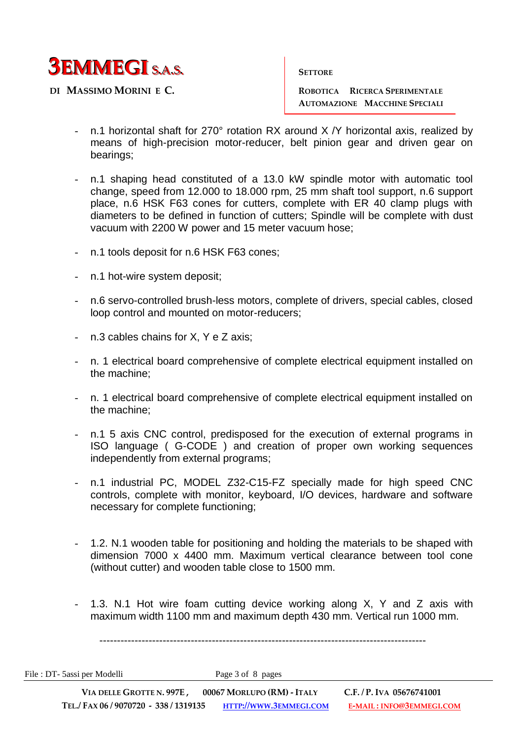

- n.1 horizontal shaft for 270° rotation RX around X /Y horizontal axis, realized by means of high-precision motor-reducer, belt pinion gear and driven gear on bearings;
- n.1 shaping head constituted of a 13.0 kW spindle motor with automatic tool change, speed from 12.000 to 18.000 rpm, 25 mm shaft tool support, n.6 support place, n.6 HSK F63 cones for cutters, complete with ER 40 clamp plugs with diameters to be defined in function of cutters; Spindle will be complete with dust vacuum with 2200 W power and 15 meter vacuum hose;
- n.1 tools deposit for n.6 HSK F63 cones;
- n.1 hot-wire system deposit;
- n.6 servo-controlled brush-less motors, complete of drivers, special cables, closed loop control and mounted on motor-reducers;
- n.3 cables chains for X, Y e Z axis;
- n. 1 electrical board comprehensive of complete electrical equipment installed on the machine;
- n. 1 electrical board comprehensive of complete electrical equipment installed on the machine;
- n.1 5 axis CNC control, predisposed for the execution of external programs in ISO language ( G-CODE ) and creation of proper own working sequences independently from external programs;
- n.1 industrial PC, MODEL Z32-C15-FZ specially made for high speed CNC controls, complete with monitor, keyboard, I/O devices, hardware and software necessary for complete functioning;
- 1.2. N.1 wooden table for positioning and holding the materials to be shaped with dimension 7000 x 4400 mm. Maximum vertical clearance between tool cone (without cutter) and wooden table close to 1500 mm.
- 1.3. N.1 Hot wire foam cutting device working along X, Y and Z axis with maximum width 1100 mm and maximum depth 430 mm. Vertical run 1000 mm.

---------------------------------------------------------------------------------------------

File : DT- 5assi per Modelli Page 3 of 8 pages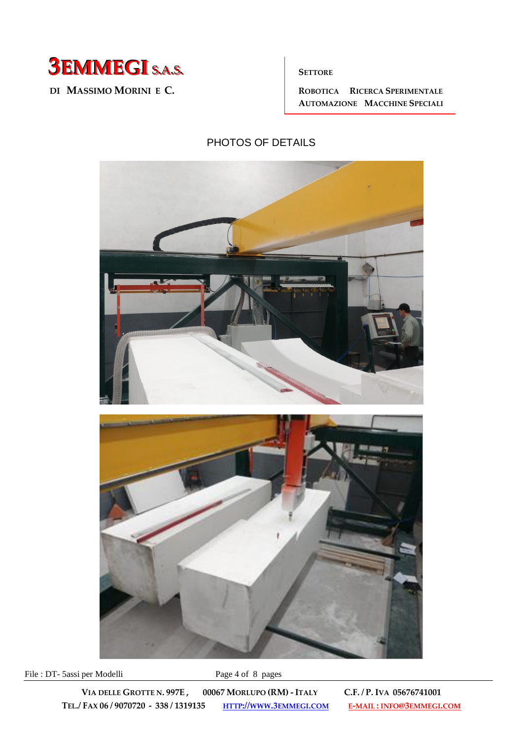

## PHOTOS OF DETAILS



File : DT- 5assi per Modelli Page 4 of 8 pages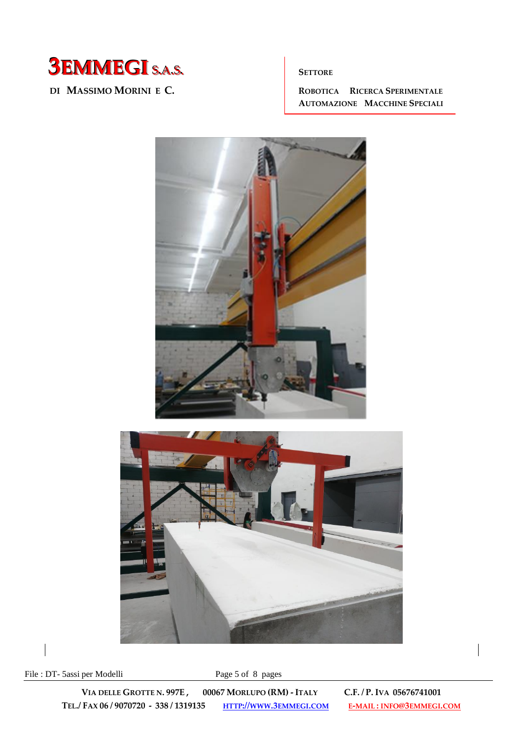





File : DT- 5assi per Modelli Page 5 of 8 pages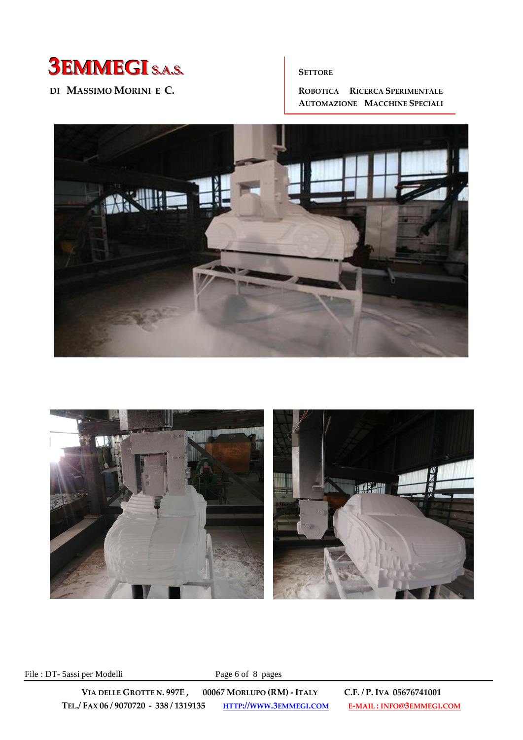

**DI MASSIMO MORINI E C. ROBOTICA RICERCA SPERIMENTALE** 

**AUTOMAZIONE MACCHINE SPECIALI**





File : DT- 5assi per Modelli Page 6 of 8 pages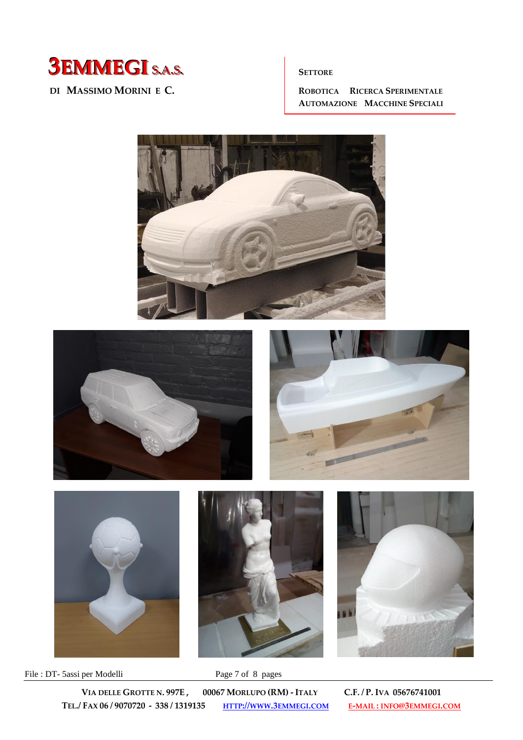